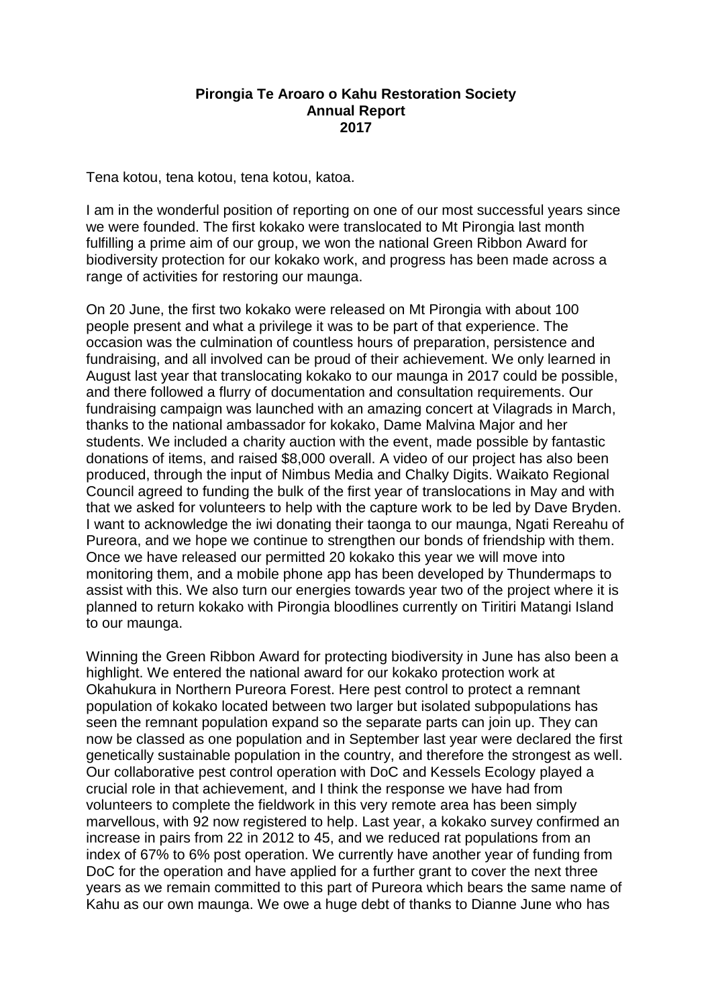## **Pirongia Te Aroaro o Kahu Restoration Society Annual Report 2017**

Tena kotou, tena kotou, tena kotou, katoa.

I am in the wonderful position of reporting on one of our most successful years since we were founded. The first kokako were translocated to Mt Pirongia last month fulfilling a prime aim of our group, we won the national Green Ribbon Award for biodiversity protection for our kokako work, and progress has been made across a range of activities for restoring our maunga.

On 20 June, the first two kokako were released on Mt Pirongia with about 100 people present and what a privilege it was to be part of that experience. The occasion was the culmination of countless hours of preparation, persistence and fundraising, and all involved can be proud of their achievement. We only learned in August last year that translocating kokako to our maunga in 2017 could be possible, and there followed a flurry of documentation and consultation requirements. Our fundraising campaign was launched with an amazing concert at Vilagrads in March, thanks to the national ambassador for kokako, Dame Malvina Major and her students. We included a charity auction with the event, made possible by fantastic donations of items, and raised \$8,000 overall. A video of our project has also been produced, through the input of Nimbus Media and Chalky Digits. Waikato Regional Council agreed to funding the bulk of the first year of translocations in May and with that we asked for volunteers to help with the capture work to be led by Dave Bryden. I want to acknowledge the iwi donating their taonga to our maunga, Ngati Rereahu of Pureora, and we hope we continue to strengthen our bonds of friendship with them. Once we have released our permitted 20 kokako this year we will move into monitoring them, and a mobile phone app has been developed by Thundermaps to assist with this. We also turn our energies towards year two of the project where it is planned to return kokako with Pirongia bloodlines currently on Tiritiri Matangi Island to our maunga.

Winning the Green Ribbon Award for protecting biodiversity in June has also been a highlight. We entered the national award for our kokako protection work at Okahukura in Northern Pureora Forest. Here pest control to protect a remnant population of kokako located between two larger but isolated subpopulations has seen the remnant population expand so the separate parts can join up. They can now be classed as one population and in September last year were declared the first genetically sustainable population in the country, and therefore the strongest as well. Our collaborative pest control operation with DoC and Kessels Ecology played a crucial role in that achievement, and I think the response we have had from volunteers to complete the fieldwork in this very remote area has been simply marvellous, with 92 now registered to help. Last year, a kokako survey confirmed an increase in pairs from 22 in 2012 to 45, and we reduced rat populations from an index of 67% to 6% post operation. We currently have another year of funding from DoC for the operation and have applied for a further grant to cover the next three years as we remain committed to this part of Pureora which bears the same name of Kahu as our own maunga. We owe a huge debt of thanks to Dianne June who has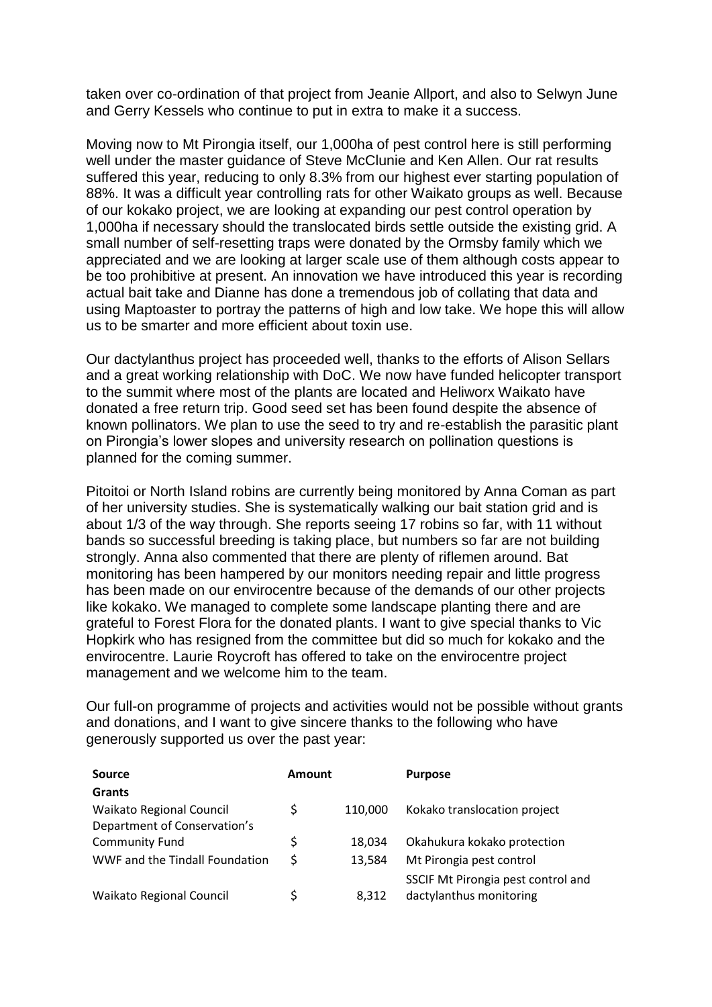taken over co-ordination of that project from Jeanie Allport, and also to Selwyn June and Gerry Kessels who continue to put in extra to make it a success.

Moving now to Mt Pirongia itself, our 1,000ha of pest control here is still performing well under the master guidance of Steve McClunie and Ken Allen. Our rat results suffered this year, reducing to only 8.3% from our highest ever starting population of 88%. It was a difficult year controlling rats for other Waikato groups as well. Because of our kokako project, we are looking at expanding our pest control operation by 1,000ha if necessary should the translocated birds settle outside the existing grid. A small number of self-resetting traps were donated by the Ormsby family which we appreciated and we are looking at larger scale use of them although costs appear to be too prohibitive at present. An innovation we have introduced this year is recording actual bait take and Dianne has done a tremendous job of collating that data and using Maptoaster to portray the patterns of high and low take. We hope this will allow us to be smarter and more efficient about toxin use.

Our dactylanthus project has proceeded well, thanks to the efforts of Alison Sellars and a great working relationship with DoC. We now have funded helicopter transport to the summit where most of the plants are located and Heliworx Waikato have donated a free return trip. Good seed set has been found despite the absence of known pollinators. We plan to use the seed to try and re-establish the parasitic plant on Pirongia's lower slopes and university research on pollination questions is planned for the coming summer.

Pitoitoi or North Island robins are currently being monitored by Anna Coman as part of her university studies. She is systematically walking our bait station grid and is about 1/3 of the way through. She reports seeing 17 robins so far, with 11 without bands so successful breeding is taking place, but numbers so far are not building strongly. Anna also commented that there are plenty of riflemen around. Bat monitoring has been hampered by our monitors needing repair and little progress has been made on our envirocentre because of the demands of our other projects like kokako. We managed to complete some landscape planting there and are grateful to Forest Flora for the donated plants. I want to give special thanks to Vic Hopkirk who has resigned from the committee but did so much for kokako and the envirocentre. Laurie Roycroft has offered to take on the envirocentre project management and we welcome him to the team.

Our full-on programme of projects and activities would not be possible without grants and donations, and I want to give sincere thanks to the following who have generously supported us over the past year:

| Source                          | Amount |         | <b>Purpose</b>                     |
|---------------------------------|--------|---------|------------------------------------|
| <b>Grants</b>                   |        |         |                                    |
| <b>Waikato Regional Council</b> | \$     | 110,000 | Kokako translocation project       |
| Department of Conservation's    |        |         |                                    |
| <b>Community Fund</b>           | \$     | 18.034  | Okahukura kokako protection        |
| WWF and the Tindall Foundation  | \$     | 13.584  | Mt Pirongia pest control           |
|                                 |        |         | SSCIF Mt Pirongia pest control and |
| <b>Waikato Regional Council</b> | Ś      | 8.312   | dactylanthus monitoring            |